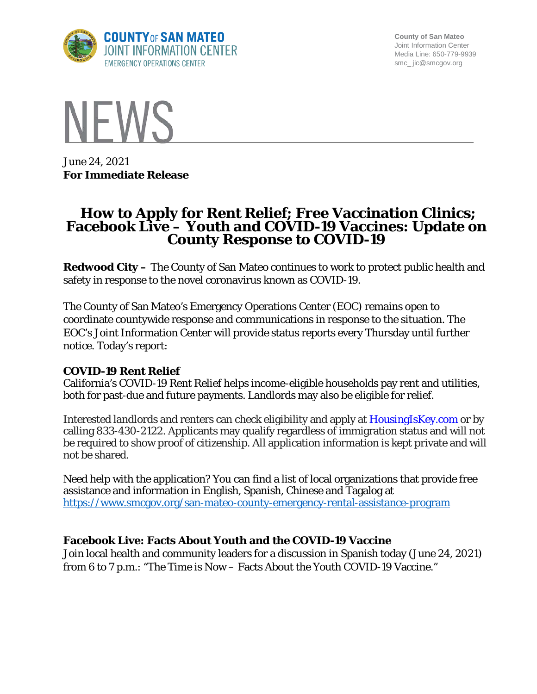

**County of San Mateo** Joint Information Center Media Line: 650-779-9939 smc\_ jic@smcgov.org



June 24, 2021 **For Immediate Release**

# **How to Apply for Rent Relief; Free Vaccination Clinics; Facebook Live – Youth and COVID-19 Vaccines: Update on County Response to COVID-19**

**Redwood City –** The County of San Mateo continues to work to protect public health and safety in response to the novel coronavirus known as COVID-19.

The County of San Mateo's Emergency Operations Center (EOC) remains open to coordinate countywide response and communications in response to the situation. The EOC's Joint Information Center will provide status reports every Thursday until further notice. Today's report:

### **COVID-19 Rent Relief**

California's COVID-19 Rent Relief helps income-eligible households pay rent and utilities, both for past-due and future payments. Landlords may also be eligible for relief.

Interested landlords and renters can check eligibility and apply at **[HousingIsKey.com](https://protect-us.mimecast.com/s/iw4LC0Ro0qI6D741hwkBXQ/)** or by calling 833-430-2122. Applicants may qualify regardless of immigration status and will not be required to show proof of citizenship. All application information is kept private and will not be shared.

Need help with the application? You can find a list of local organizations that provide free assistance and information in English, Spanish, Chinese and Tagalog at <https://www.smcgov.org/san-mateo-county-emergency-rental-assistance-program>

### **Facebook Live: Facts About Youth and the COVID-19 Vaccine**

Join local health and community leaders for a discussion in Spanish today (June 24, 2021) from 6 to 7 p.m.: "The Time is Now – Facts About the Youth COVID-19 Vaccine."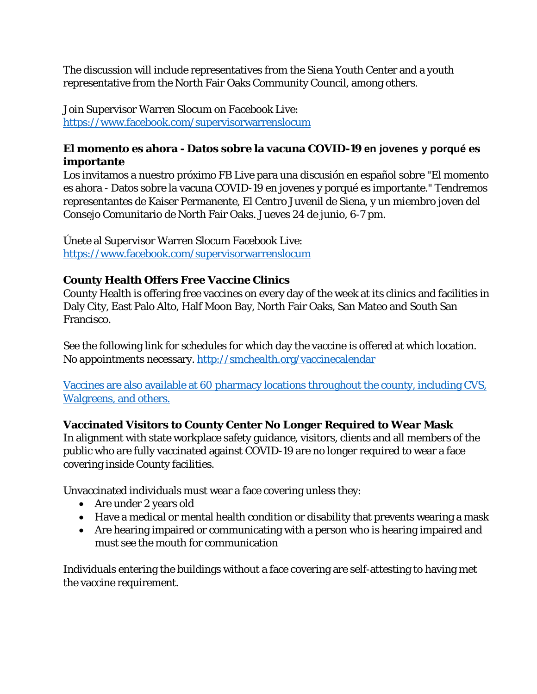The discussion will include representatives from the Siena Youth Center and a youth representative from the North Fair Oaks Community Council, among others.

Join Supervisor Warren Slocum on Facebook Live: <https://www.facebook.com/supervisorwarrenslocum>

## **El momento es ahora - Datos sobre la vacuna COVID-19 en jovenes y porqué es importante**

Los invitamos a nuestro próximo FB Live para una discusión en español sobre "El momento es ahora - Datos sobre la vacuna COVID-19 en jovenes y porqué es importante." Tendremos representantes de Kaiser Permanente, El Centro Juvenil de Siena, y un miembro joven del Consejo Comunitario de North Fair Oaks. Jueves 24 de junio, 6-7 pm.

Únete al Supervisor Warren Slocum Facebook Live: <https://www.facebook.com/supervisorwarrenslocum>

## **County Health Offers Free Vaccine Clinics**

County Health is offering free vaccines on every day of the week at its clinics and facilities in Daly City, East Palo Alto, Half Moon Bay, North Fair Oaks, San Mateo and South San Francisco.

See the following link for schedules for which day the vaccine is offered at which location. No appointments necessary. [http://smchealth.org/vaccinecalendar](http://smchealth.org/vaccinecalendar?fbclid=IwAR1v5qnplZBK9kAidgPbT7-goUknrPFD3VVcdOi8iRbF6O8tpLPZAomEJdo)

Vaccines are also available at 60 pharmacy locations throughout the county, including CVS, Walgreens, and others.

# **Vaccinated Visitors to County Center No Longer Required to Wear Mask**

In alignment with state workplace safety guidance, visitors, clients and all members of the public who are fully vaccinated against COVID-19 are no longer required to wear a face covering inside County facilities.

Unvaccinated individuals must wear a face covering unless they:

- Are under 2 years old
- Have a medical or mental health condition or disability that prevents wearing a mask
- Are hearing impaired or communicating with a person who is hearing impaired and must see the mouth for communication

Individuals entering the buildings without a face covering are self-attesting to having met the vaccine requirement.